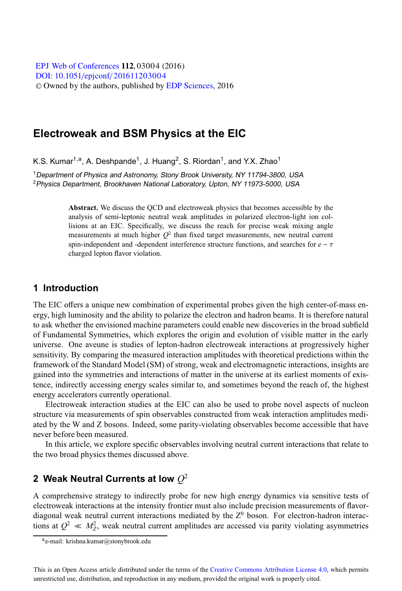[DOI: 10.1051](http://dx.doi.org/10.1051/epjconf/201611203004)/epjconf/201611203004 © Owned by the authors, published by [EDP Sciences](http://www.edpsciences.org), 2016 **EPJ Web of [Conferences](http://www.epj-conferences.org) 112, 03004 (2016)** 

# **Electroweak and BSM Physics at the EIC**

K.S. Kumar<sup>1,a</sup>, A. Deshpande<sup>1</sup>, J. Huang<sup>2</sup>, S. Riordan<sup>1</sup>, and Y.X. Zhao<sup>1</sup>

<sup>1</sup>Department of Physics and Astronomy, Stony Brook University, NY 11794-3800, USA <sup>2</sup> Physics Department, Brookhaven National Laboratory, Upton, NY 11973-5000, USA

> **Abstract.** We discuss the QCD and electroweak physics that becomes accessible by the analysis of semi-leptonic neutral weak amplitudes in polarized electron-light ion collisions at an EIC. Specifically, we discuss the reach for precise weak mixing angle measurements at much higher  $Q^2$  than fixed target measurements, new neutral current spin-independent and -dependent interference structure functions, and searches for  $e - \tau$ charged lepton flavor violation.

### **1 Introduction**

The EIC offers a unique new combination of experimental probes given the high center-of-mass energy, high luminosity and the ability to polarize the electron and hadron beams. It is therefore natural to ask whether the envisioned machine parameters could enable new discoveries in the broad subfield of Fundamental Symmetries, which explores the origin and evolution of visible matter in the early universe. One aveune is studies of lepton-hadron electroweak interactions at progressively higher sensitivity. By comparing the measured interaction amplitudes with theoretical predictions within the framework of the Standard Model (SM) of strong, weak and electromagnetic interactions, insights are gained into the symmetries and interactions of matter in the universe at its earliest moments of existence, indirectly accessing energy scales similar to, and sometimes beyond the reach of, the highest energy accelerators currently operational.

Electroweak interaction studies at the EIC can also be used to probe novel aspects of nucleon structure via measurements of spin observables constructed from weak interaction amplitudes mediated by the W and Z bosons. Indeed, some parity-violating observables become accessible that have never before been measured.

In this article, we explore specific observables involving neutral current interactions that relate to the two broad physics themes discussed above.

# **2 Weak Neutral Currents at low** *Q*<sup>2</sup>

A comprehensive strategy to indirectly probe for new high energy dynamics via sensitive tests of electroweak interactions at the intensity frontier must also include precision measurements of flavordiagonal weak neutral current interactions mediated by the  $Z<sup>0</sup>$  boson. For electron-hadron interactions at  $Q^2 \ll M_Z^2$ , weak neutral current amplitudes are accessed via parity violating asymmetries

ae-mail: krishna.kumar@stonybrook.edu

This is an Open Access article distributed under the terms of the Creative Commons Attribution License 4.0, which permits unrestricted use, distribution, and reproduction in any medium, provided the original work is properly cited.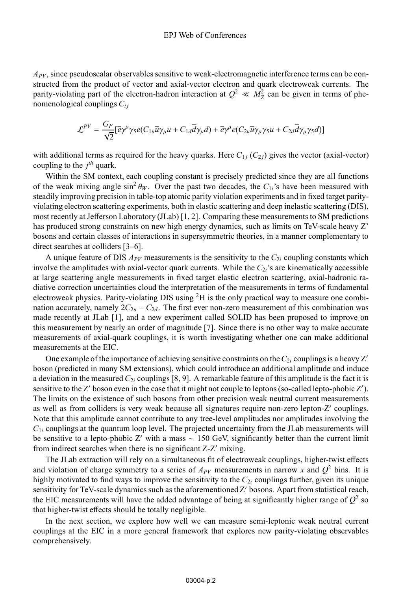*APV*, since pseudoscalar observables sensitive to weak-electromagnetic interference terms can be constructed from the product of vector and axial-vector electron and quark electroweak currents. The parity-violating part of the electron-hadron interaction at  $Q^2 \ll M_Z^2$  can be given in terms of phenomenological couplings  $C_{ij}$ 

$$
\mathcal{L}^{PV} = \frac{G_F}{\sqrt{2}} [\overline{e}\gamma^{\mu}\gamma_5 e(C_{1u}\overline{u}\gamma_{\mu}u + C_{1d}\overline{d}\gamma_{\mu}d) + \overline{e}\gamma^{\mu}e(C_{2u}\overline{u}\gamma_{\mu}\gamma_5u + C_{2d}\overline{d}\gamma_{\mu}\gamma_5d)]
$$

with additional terms as required for the heavy quarks. Here  $C_{1i}$  ( $C_{2i}$ ) gives the vector (axial-vector) coupling to the *j th* quark.

Within the SM context, each coupling constant is precisely predicted since they are all functions of the weak mixing angle  $\sin^2 \theta_W$ . Over the past two decades, the  $C_1$ 's have been measured with steadily improving precision in table-top atomic parity violation experiments and in fixed target parityviolating electron scattering experiments, both in elastic scattering and deep inelastic scattering (DIS), most recently at Jefferson Laboratory (JLab) [1, 2]. Comparing these measurements to SM predictions has produced strong constraints on new high energy dynamics, such as limits on TeV-scale heavy Z' bosons and certain classes of interactions in supersymmetric theories, in a manner complementary to direct searches at colliders [3–6].

A unique feature of DIS *APV* measurements is the sensitivity to the *C*<sup>2</sup>*<sup>i</sup>* coupling constants which involve the amplitudes with axial-vector quark currents. While the  $C_{2i}$ 's are kinematically accessible at large scattering angle measurements in fixed target elastic electron scattering, axial-hadronic radiative correction uncertainties cloud the interpretation of the measurements in terms of fundamental electroweak physics. Parity-violating DIS using  ${}^{2}H$  is the only practical way to measure one combination accurately, namely  $2C_{2u} - C_{2d}$ . The first ever non-zero measurement of this combination was made recently at JLab [1], and a new experiment called SOLID has been proposed to improve on this measurement by nearly an order of magnitude [7]. Since there is no other way to make accurate measurements of axial-quark couplings, it is worth investigating whether one can make additional measurements at the EIC.

One example of the importance of achieving sensitive constraints on the  $C_{2i}$  couplings is a heavy Z' boson (predicted in many SM extensions), which could introduce an additional amplitude and induce a deviation in the measured *C*<sup>2</sup>*<sup>i</sup>* couplings [8, 9]. A remarkable feature of this amplitude is the fact it is sensitive to the Z' boson even in the case that it might not couple to leptons (so-called lepto-phobic Z'). The limits on the existence of such bosons from other precision weak neutral current measurements as well as from colliders is very weak because all signatures require non-zero lepton-Z' couplings. Note that this amplitude cannot contribute to any tree-level amplitudes nor amplitudes involving the  $C_{1i}$  couplings at the quantum loop level. The projected uncertainty from the JLab measurements will be sensitive to a lepto-phobic Z' with a mass ~ 150 GeV, significantly better than the current limit from indirect searches when there is no significant  $Z-Z'$  mixing.

The JLab extraction will rely on a simultaneous fit of electroweak couplings, higher-twist effects and violation of charge symmetry to a series of  $A_{PV}$  measurements in narrow x and  $Q^2$  bins. It is highly motivated to find ways to improve the sensitivity to the  $C_{2i}$  couplings further, given its unique sensitivity for TeV-scale dynamics such as the aforementioned  $Z'$  bosons. Apart from statistical reach, the EIC measurements will have the added advantage of being at significantly higher range of  $Q^2$  so that higher-twist effects should be totally negligible.

In the next section, we explore how well we can measure semi-leptonic weak neutral current couplings at the EIC in a more general framework that explores new parity-violating observables comprehensively.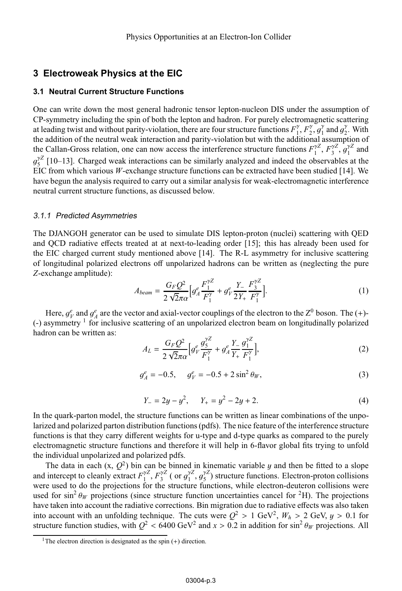# **3 Electroweak Physics at the EIC**

#### **3.1 Neutral Current Structure Functions**

One can write down the most general hadronic tensor lepton-nucleon DIS under the assumption of CP-symmetry including the spin of both the lepton and hadron. For purely electromagnetic scattering at leading twist and without parity-violation, there are four structure functions  $F_1^{\gamma}, F_2^{\gamma}, g_1^{\gamma}$  and  $g_2^{\gamma}$ . With the addition of the neutral weak interaction and parity-violation but with the additional assum the addition of the neutral weak interaction and parity-violation but with the additional assumption of the Callan-Gross relation, one can now access the interference structure functions  $F_1^{\gamma Z}$ ,  $F_3^{\gamma Z}$ ,  $g_1^{\gamma Z}$  and  $g_2^{\gamma Z}$  and  $g_2^{\gamma Z}$  and  $g_3^{\gamma Z}$  and  $g_4^{\gamma Z}$  and  $g_5^{\gamma Z}$ . The structure functions are  $g^{\gamma Z}_{\rm 5}$  [10–13]. Charged weak interactions can be similarly analyzed and indeed the observables at the BIC from which various *W*-exchange structure functions can be extracted have been studied [14]. We EIC from which various  $W$ -exchange structure functions can be extracted have been studied [14]. We have begun the analysis required to carry out a similar analysis for weak-electromagnetic interference neutral current structure functions, as discussed below.

#### 3.1.1 Predicted Asymmetries

The DJANGOH generator can be used to simulate DIS lepton-proton (nuclei) scattering with QED and QCD radiative effects treated at at next-to-leading order [15]; this has already been used for the EIC charged current study mentioned above [14]. The R-L asymmetry for inclusive scattering of longitudinal polarized electrons off unpolarized hadrons can be written as (neglecting the pure *Z*-exchange amplitude):

$$
A_{beam} = \frac{G_F Q^2}{2\sqrt{2}\pi\alpha} \Big[ g_A^e \frac{F_1^{\gamma Z}}{F_1^{\gamma}} + g_V^e \frac{Y_-}{2Y_+} \frac{F_3^{\gamma Z}}{F_1^{\gamma}} \Big]. \tag{1}
$$

Here,  $g_{V}^{e}$  and  $g_{A}^{e}$  are the vector and axial-vector couplings of the electron to the  $Z^{0}$  boson. The (+)-<br>asymmetry <sup>1</sup> for inclusive scattering of an unpolarized electron beam on longitudinally polarized  $(-)$  asymmetry <sup>1</sup> for inclusive scattering of an unpolarized electron beam on longitudinally polarized hadron can be written as:

$$
A_L = \frac{G_F Q^2}{2\sqrt{2}\pi\alpha} \Big[ g_V^e \frac{g_S^{VZ}}{F_1^V} + g_A^e \frac{Y}{Y_+} \frac{g_1^{VZ}}{F_1^V} \Big],\tag{2}
$$

$$
g_A^e = -0.5, \quad g_V^e = -0.5 + 2\sin^2\theta_W,\tag{3}
$$

$$
Y_{-} = 2y - y^2, \qquad Y_{+} = y^2 - 2y + 2. \tag{4}
$$

In the quark-parton model, the structure functions can be written as linear combinations of the unpolarized and polarized parton distribution functions (pdfs). The nice feature of the interference structure functions is that they carry different weights for u-type and d-type quarks as compared to the purely electromagnetic structure functions and therefore it will help in 6-flavor global fits trying to unfold the individual unpolarized and polarized pdfs.

The data in each  $(x, Q^2)$  bin can be binned in kinematic variable y and then be fitted to a slope and intercept to cleanly extract  $F_1^{\gamma Z}$ ,  $F_3^{\gamma Z}$  ( or  $g_1^{\gamma Z}$ ,  $g_2^{\gamma Z}$ ) structure functions. Electron-proton collisions were used to do the projections for the structure functions, while electron-deuteron col were used to do the projections for the structure functions, while electron-deuteron collisions were used for  $\sin^2 \theta_W$  projections (since structure function uncertainties cancel for <sup>2</sup>H). The projections have taken into account the radiative corrections. Bin migration due to radiative effects was also taken into account with an unfolding technique. The cuts were  $Q^2 > 1$  GeV<sup>2</sup>,  $W_h > 2$  GeV,  $y > 0.1$  for structure function studies, with  $Q^2$  < 6400 GeV<sup>2</sup> and  $x > 0.2$  in addition for sin<sup>2</sup>  $\theta_W$  projections. All

<sup>&</sup>lt;sup>1</sup>The electron direction is designated as the spin  $(+)$  direction.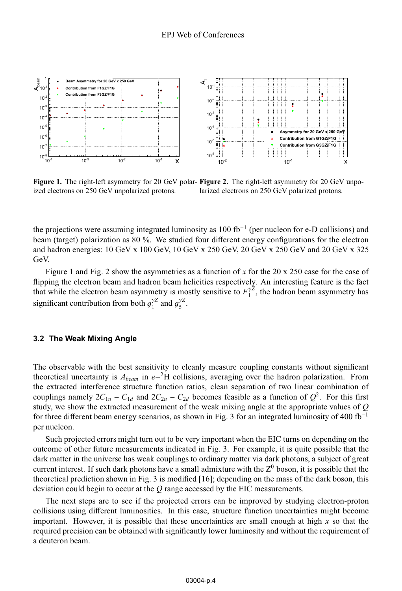

**Figure 1.** The right-left asymmetry for 20 GeV polar-**Figure 2.** The right-left asymmetry for 20 GeV unpo-<br>ized electrons on 250 GeV unpolarized protons ized electrons on 250 GeV unpolarized protons. larized electrons on 250 GeV polarized protons.

the projections were assuming integrated luminosity as 100 fb−<sup>1</sup> (per nucleon for e-D collisions) and beam (target) polarization as 80 %. We studied four different energy configurations for the electron and hadron energies: 10 GeV x 100 GeV, 10 GeV x 250 GeV, 20 GeV x 250 GeV and 20 GeV x 325 GeV.

Figure 1 and Fig. 2 show the asymmetries as a function of *x* for the 20 x 250 case for the case of flipping the electron beam and hadron beam helicities respectively. An interesting feature is the fact that while the electron beam asymmetry is mostly sensitive to  $F_1^{\gamma Z}$ , the hadron beam asymmetry has significant contribution from both  $g_1^{\gamma Z}$  and  $g_5^{\gamma Z}$ .

#### **3.2 The Weak Mixing Angle**

The observable with the best sensitivity to cleanly measure coupling constants without significant theoretical uncertainty is *Abeam* in *<sup>e</sup>*−2H collisions, averaging over the hadron polarization. From the extracted interference structure function ratios, clean separation of two linear combination of couplings namely  $2C_{1u} - C_{1d}$  and  $2C_{2u} - C_{2d}$  becomes feasible as a function of  $Q^2$ . For this first study, we show the extracted measurement of the weak mixing angle at the appropriate values of *Q* for three different beam energy scenarios, as shown in Fig. 3 for an integrated luminosity of 400 fb<sup>-1</sup> per nucleon.

Such projected errors might turn out to be very important when the EIC turns on depending on the outcome of other future measurements indicated in Fig. 3. For example, it is quite possible that the dark matter in the universe has weak couplings to ordinary matter via dark photons, a subject of great current interest. If such dark photons have a small admixture with the  $Z^0$  boson, it is possible that the theoretical prediction shown in Fig. 3 is modified [16]; depending on the mass of the dark boson, this deviation could begin to occur at the *Q* range accessed by the EIC measurements.

The next steps are to see if the projected errors can be improved by studying electron-proton collisions using different luminosities. In this case, structure function uncertainties might become important. However, it is possible that these uncertainties are small enough at high *x* so that the required precision can be obtained with significantly lower luminosity and without the requirement of a deuteron beam.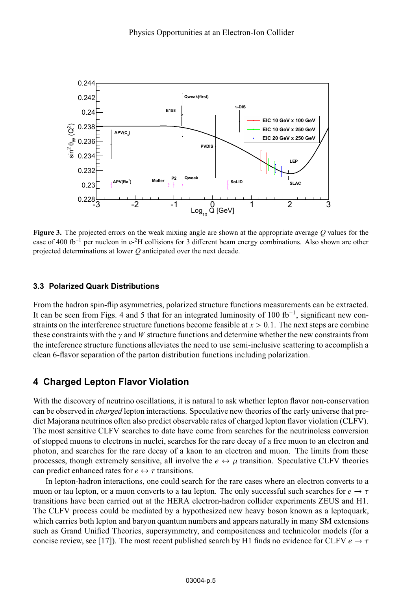

**Figure 3.** The projected errors on the weak mixing angle are shown at the appropriate average *<sup>Q</sup>* values for the case of 400 fb−<sup>1</sup> per nucleon in e-2H collisions for 3 different beam energy combinations. Also shown are other projected determinations at lower *Q* anticipated over the next decade.

#### **3.3 Polarized Quark Distributions**

From the hadron spin-flip asymmetries, polarized structure functions measurements can be extracted. It can be seen from Figs. 4 and 5 that for an integrated luminosity of 100 fb−1, significant new constraints on the interference structure functions become feasible at *<sup>x</sup>* > <sup>0</sup>.1. The next steps are combine these constraints with the  $\gamma$  and *W* structure functions and determine whether the new constraints from the inteference structure functions alleviates the need to use semi-inclusive scattering to accomplish a clean 6-flavor separation of the parton distribution functions including polarization.

## **4 Charged Lepton Flavor Violation**

With the discovery of neutrino oscillations, it is natural to ask whether lepton flavor non-conservation can be observed in *charged* lepton interactions. Speculative new theories of the early universe that predict Majorana neutrinos often also predict observable rates of charged lepton flavor violation (CLFV). The most sensitive CLFV searches to date have come from searches for the neutrinoless conversion of stopped muons to electrons in nuclei, searches for the rare decay of a free muon to an electron and photon, and searches for the rare decay of a kaon to an electron and muon. The limits from these processes, though extremely sensitive, all involve the  $e \leftrightarrow \mu$  transition. Speculative CLFV theories can predict enhanced rates for  $e \leftrightarrow \tau$  transitions.

In lepton-hadron interactions, one could search for the rare cases where an electron converts to a muon or tau lepton, or a muon converts to a tau lepton. The only successful such searches for  $e \rightarrow \tau$ transitions have been carried out at the HERA electron-hadron collider experiments ZEUS and H1. The CLFV process could be mediated by a hypothesized new heavy boson known as a leptoquark, which carries both lepton and baryon quantum numbers and appears naturally in many SM extensions such as Grand Unified Theories, supersymmetry, and compositeness and technicolor models (for a concise review, see [17]). The most recent published search by H1 finds no evidence for CLFV  $e \rightarrow \tau$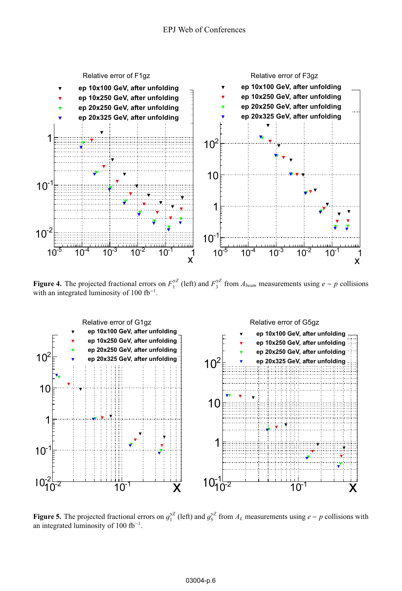

**Figure 4.** The projected fractional errors on  $F_1^{\gamma Z}$  (left) and  $F_3^{\gamma Z}$  from  $A_{beam}$  measurements using  $e - p$  collisions with an integrated luminosity of 100 fb<sup>-1</sup> with an integrated luminosity of 100  $fb^{-1}$ .



**Figure 5.** The projected fractional errors on  $g_1^{\gamma Z}$  (left) and  $g_5^{\gamma Z}$  from  $A_L$  measurements using  $e - p$  collisions with an integrated luminosity of 100 fb<sup>-1</sup> an integrated luminosity of 100 fb<sup>-1</sup>.